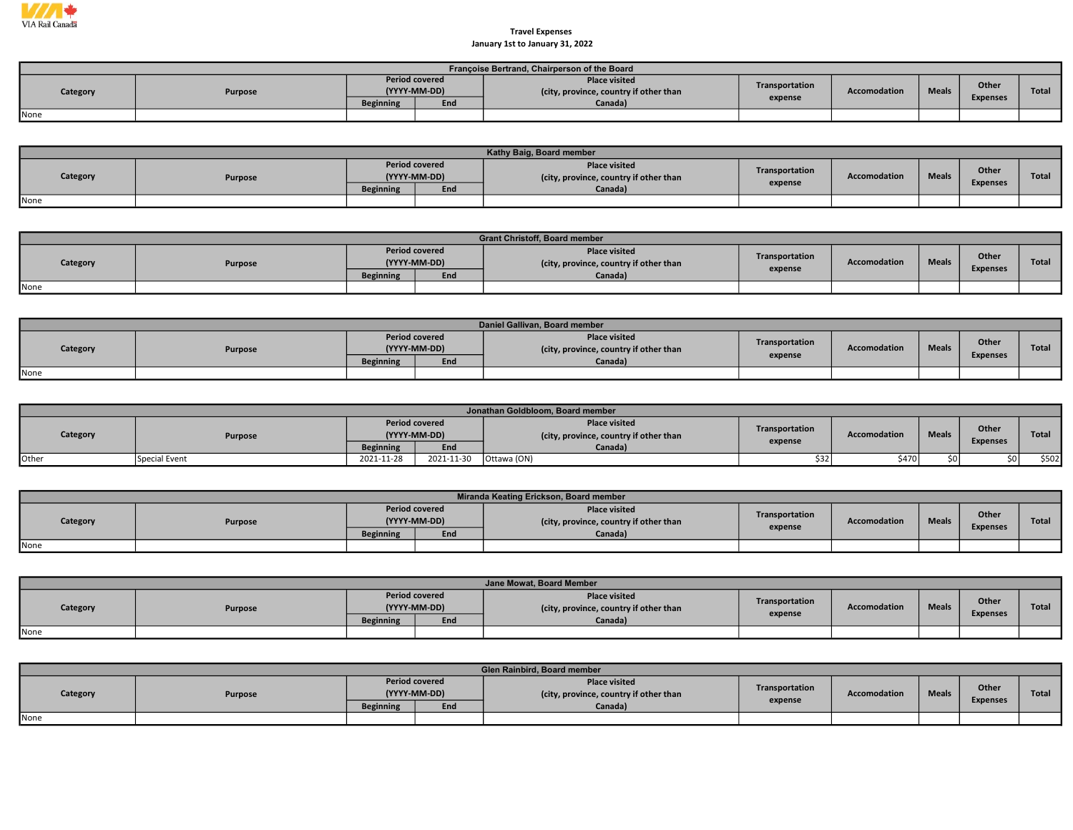

## January 1st to January 31, 2022 Travel Expenses

|          | Françoise Bertrand, Chairperson of the Board |                                       |     |                                                         |                |                     |              |                 |       |  |  |  |  |
|----------|----------------------------------------------|---------------------------------------|-----|---------------------------------------------------------|----------------|---------------------|--------------|-----------------|-------|--|--|--|--|
| Category | Purpose                                      | <b>Period covered</b><br>(YYYY-MM-DD) |     | Place visited<br>(city, province, country if other than | Transportation | <b>Accomodation</b> | <b>Meals</b> | Other           | Total |  |  |  |  |
|          |                                              | <b>Beginning</b>                      | End | Canada)                                                 | expense        |                     |              | <b>Expenses</b> |       |  |  |  |  |
| None     |                                              |                                       |     |                                                         |                |                     |              |                 |       |  |  |  |  |

|          | Kathy Baig, Board member |                                       |     |                                                                |                           |                     |              |                          |              |  |  |  |
|----------|--------------------------|---------------------------------------|-----|----------------------------------------------------------------|---------------------------|---------------------|--------------|--------------------------|--------------|--|--|--|
| Category | Purpose                  | <b>Period covered</b><br>(YYYY-MM-DD) |     | <b>Place visited</b><br>(city, province, country if other than | Transportation<br>expense | <b>Accomodation</b> | <b>Meals</b> | Other<br><b>Expenses</b> | <b>Total</b> |  |  |  |
|          |                          | <b>Beginning</b>                      | End | Canada)                                                        |                           |                     |              |                          |              |  |  |  |
| None     |                          |                                       |     |                                                                |                           |                     |              |                          |              |  |  |  |

|          |         |                  |                                       | <b>Grant Christoff, Board member</b>                           |                |              |              |                                 |              |
|----------|---------|------------------|---------------------------------------|----------------------------------------------------------------|----------------|--------------|--------------|---------------------------------|--------------|
| Category | Purpose |                  | <b>Period covered</b><br>(YYYY-MM-DD) | <b>Place visited</b><br>(city, province, country if other than | Transportation | Accomodation | <b>Meals</b> | <b>Other</b><br><b>Expenses</b> | <b>Total</b> |
|          |         | <b>Beginning</b> | End                                   | Canada)                                                        | expense        |              |              |                                 |              |
| None     |         |                  |                                       |                                                                |                |              |              |                                 |              |

|          | Daniel Gallivan, Board member |                  |                                       |                                                                |                |                     |              |                          |              |  |  |  |
|----------|-------------------------------|------------------|---------------------------------------|----------------------------------------------------------------|----------------|---------------------|--------------|--------------------------|--------------|--|--|--|
| Category | Purpose                       |                  | <b>Period covered</b><br>(YYYY-MM-DD) | <b>Place visited</b><br>(city, province, country if other than | Transportation | <b>Accomodation</b> | <b>Meals</b> | Other<br><b>Expenses</b> | <b>Total</b> |  |  |  |
|          |                               | <b>Beginning</b> | End                                   | Canada)                                                        | expense        |                     |              |                          |              |  |  |  |
| None     |                               |                  |                                       |                                                                |                |                     |              |                          |              |  |  |  |

|              | Jonathan Goldbloom. Board member |                  |                                       |                                                                |                           |                     |              |                          |              |  |  |  |  |
|--------------|----------------------------------|------------------|---------------------------------------|----------------------------------------------------------------|---------------------------|---------------------|--------------|--------------------------|--------------|--|--|--|--|
| Category     | Purpose                          |                  | <b>Period covered</b><br>(YYYY-MM-DD) | <b>Place visited</b><br>(city, province, country if other than | Transportation<br>expense | <b>Accomodation</b> | <b>Meals</b> | Other<br><b>Expenses</b> | <b>Total</b> |  |  |  |  |
|              |                                  | <b>Beginning</b> | End                                   | Canada)                                                        |                           |                     |              |                          |              |  |  |  |  |
| <b>Other</b> | Special Event                    | 2021-11-28       | 2021-11-30                            | Ottawa (ON)                                                    | \$32                      | \$470               |              | \$0 l                    | \$502        |  |  |  |  |

|          | Miranda Keating Erickson, Board member |                  |                                       |                                                                |                |                     |              |                 |              |  |  |  |  |
|----------|----------------------------------------|------------------|---------------------------------------|----------------------------------------------------------------|----------------|---------------------|--------------|-----------------|--------------|--|--|--|--|
| Category | Purpose                                |                  | <b>Period covered</b><br>(YYYY-MM-DD) | <b>Place visited</b><br>(city, province, country if other than | Transportation | <b>Accomodation</b> | <b>Meals</b> | Other           | <b>Total</b> |  |  |  |  |
|          |                                        | <b>Beginning</b> | End                                   | Canada)                                                        | expense        |                     |              | <b>Expenses</b> |              |  |  |  |  |
| None     |                                        |                  |                                       |                                                                |                |                     |              |                 |              |  |  |  |  |

|          | Jane Mowat, Board Member |                                       |     |                                                                |                |              |              |                          |       |  |  |  |
|----------|--------------------------|---------------------------------------|-----|----------------------------------------------------------------|----------------|--------------|--------------|--------------------------|-------|--|--|--|
| Category | Purpose                  | <b>Period covered</b><br>(YYYY-MM-DD) |     | <b>Place visited</b><br>(city, province, country if other than | Transportation | Accomodation | <b>Meals</b> | Other<br><b>Expenses</b> | Total |  |  |  |
|          |                          | <b>Beginning</b>                      | End | Canada)                                                        | expense        |              |              |                          |       |  |  |  |
| None     |                          |                                       |     |                                                                |                |              |              |                          |       |  |  |  |

|          | <b>Glen Rainbird, Board member</b> |                  |                                       |                                                                |                |              |              |                 |              |  |  |  |
|----------|------------------------------------|------------------|---------------------------------------|----------------------------------------------------------------|----------------|--------------|--------------|-----------------|--------------|--|--|--|
| Category | Purpose                            |                  | <b>Period covered</b><br>(YYYY-MM-DD) | <b>Place visited</b><br>(city, province, country if other than | Transportation | Accomodation | <b>Meals</b> | <b>Other</b>    | <b>Total</b> |  |  |  |
|          |                                    | <b>Beginning</b> | End                                   | Canada)                                                        | expense        |              |              | <b>Expenses</b> |              |  |  |  |
| None     |                                    |                  |                                       |                                                                |                |              |              |                 |              |  |  |  |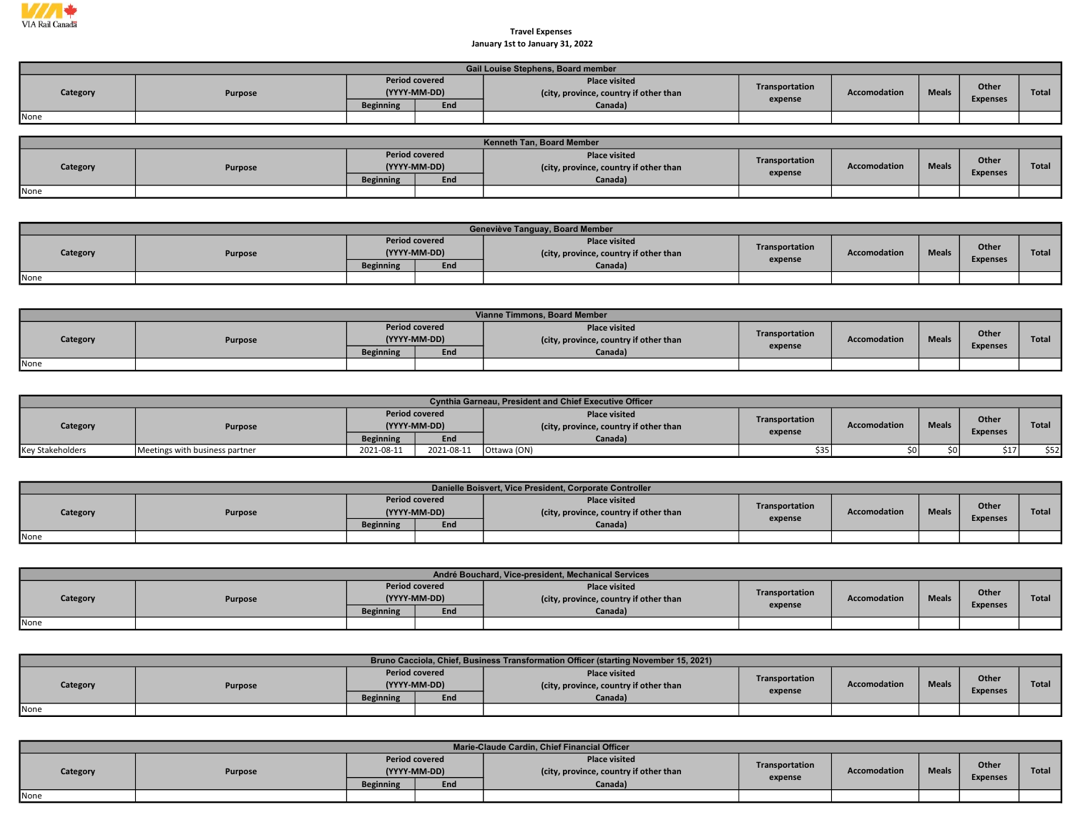

## January 1st to January 31, 2022 Travel Expenses

|          | Gail Louise Stephens, Board member |                                       |     |                                                                |                |              |              |                 |       |  |  |  |  |
|----------|------------------------------------|---------------------------------------|-----|----------------------------------------------------------------|----------------|--------------|--------------|-----------------|-------|--|--|--|--|
| Category | <b>Purpose</b>                     | <b>Period covered</b><br>(YYYY-MM-DD) |     | <b>Place visited</b><br>(city, province, country if other than | Transportation | Accomodation | <b>Meals</b> | Other           | Total |  |  |  |  |
|          |                                    | <b>Beginning</b>                      | End | Canada)                                                        | expense        |              |              | <b>Expenses</b> |       |  |  |  |  |
| None     |                                    |                                       |     |                                                                |                |              |              |                 |       |  |  |  |  |

| <b>Kenneth Tan. Board Member</b> |         |                       |              |                                                                |                |                     |              |                 |              |  |  |  |
|----------------------------------|---------|-----------------------|--------------|----------------------------------------------------------------|----------------|---------------------|--------------|-----------------|--------------|--|--|--|
| Category                         | Purpose | <b>Period covered</b> | (YYYY-MM-DD) | <b>Place visited</b><br>(city, province, country if other than | Transportation | <b>Accomodation</b> | <b>Meals</b> | <b>Other</b>    | <b>Total</b> |  |  |  |
|                                  |         | <b>Beginning</b>      | End          | Canada)                                                        | expense        |                     |              | <b>Expenses</b> |              |  |  |  |
| None                             |         |                       |              |                                                                |                |                     |              |                 |              |  |  |  |

|          | Geneviève Tanguay, Board Member |                  |                                       |                                                                |                |              |              |                 |       |  |  |  |  |
|----------|---------------------------------|------------------|---------------------------------------|----------------------------------------------------------------|----------------|--------------|--------------|-----------------|-------|--|--|--|--|
| Category | <b>Purpose</b>                  |                  | <b>Period covered</b><br>(YYYY-MM-DD) | <b>Place visited</b><br>(city, province, country if other than | Transportation | Accomodation | <b>Meals</b> | <b>Other</b>    | Total |  |  |  |  |
|          |                                 | <b>Beginning</b> | End                                   | Canada)                                                        | expense        |              |              | <b>Expenses</b> |       |  |  |  |  |
| None     |                                 |                  |                                       |                                                                |                |              |              |                 |       |  |  |  |  |

|          | Vianne Timmons, Board Member |                                       |     |                                                               |                |                     |              |                 |       |  |  |  |  |
|----------|------------------------------|---------------------------------------|-----|---------------------------------------------------------------|----------------|---------------------|--------------|-----------------|-------|--|--|--|--|
| Category | Purpose                      | <b>Period covered</b><br>(YYYY-MM-DD) |     | <b>Place visited</b><br>city, province, country if other than | Transportation | <b>Accomodation</b> | <b>Meals</b> | Other           | Total |  |  |  |  |
|          |                              | <b>Beginning</b>                      | End | Canada)                                                       | expense        |                     |              | <b>Expenses</b> |       |  |  |  |  |
| None     |                              |                                       |     |                                                               |                |                     |              |                 |       |  |  |  |  |

|                         | <b>Cynthia Garneau, President and Chief Executive Officer</b> |                  |                                       |                                                                |                |                     |              |                          |       |  |  |  |  |
|-------------------------|---------------------------------------------------------------|------------------|---------------------------------------|----------------------------------------------------------------|----------------|---------------------|--------------|--------------------------|-------|--|--|--|--|
| Category                | Purpose                                                       |                  | <b>Period covered</b><br>(YYYY-MM-DD) | <b>Place visited</b><br>(city, province, country if other than | Transportation | <b>Accomodation</b> | <b>Meals</b> | Other<br><b>Expenses</b> | Total |  |  |  |  |
|                         |                                                               | <b>Beginning</b> | End                                   | Canada)                                                        | expense        |                     |              |                          |       |  |  |  |  |
| <b>Key Stakeholders</b> | Meetings with business partner                                | 2021-08-11       | 2021-08-11                            | Ottawa (ON)                                                    | \$35 l         |                     |              |                          | \$52  |  |  |  |  |

|          | Danielle Boisvert, Vice President, Corporate Controller |                  |                                       |                                                                |                |              |              |                          |       |  |  |  |  |  |
|----------|---------------------------------------------------------|------------------|---------------------------------------|----------------------------------------------------------------|----------------|--------------|--------------|--------------------------|-------|--|--|--|--|--|
| Category | Purpose                                                 |                  | <b>Period covered</b><br>(YYYY-MM-DD) | <b>Place visited</b><br>(city, province, country if other than | Transportation | Accomodation | <b>Meals</b> | Other<br><b>Expenses</b> | Total |  |  |  |  |  |
|          |                                                         | <b>Beginning</b> | End                                   | Canada)                                                        | expense        |              |              |                          |       |  |  |  |  |  |
| None     |                                                         |                  |                                       |                                                                |                |              |              |                          |       |  |  |  |  |  |

|                     | André Bouchard, Vice-president, Mechanical Services |                       |              |                                                                |                |                     |              |                 |              |  |  |  |  |  |
|---------------------|-----------------------------------------------------|-----------------------|--------------|----------------------------------------------------------------|----------------|---------------------|--------------|-----------------|--------------|--|--|--|--|--|
| Category<br>Purpose |                                                     | <b>Period covered</b> | (YYYY-MM-DD) | <b>Place visited</b><br>(city, province, country if other than | Transportation | <b>Accomodation</b> | <b>Meals</b> | Other           | <b>Total</b> |  |  |  |  |  |
|                     |                                                     | <b>Beginning</b>      | End          | Canada)                                                        | expense        |                     |              | <b>Expenses</b> |              |  |  |  |  |  |
| None                |                                                     |                       |              |                                                                |                |                     |              |                 |              |  |  |  |  |  |

|          |         |                  |                                       | Bruno Cacciola, Chief, Business Transformation Officer (starting November 15, 2021) |                |                     |              |                          |              |
|----------|---------|------------------|---------------------------------------|-------------------------------------------------------------------------------------|----------------|---------------------|--------------|--------------------------|--------------|
| Category | Purpose |                  | <b>Period covered</b><br>(YYYY-MM-DD) | <b>Place visited</b><br>(city, province, country if other than                      | Transportation | <b>Accomodation</b> | <b>Meals</b> | Other<br><b>Expenses</b> | <b>Total</b> |
|          |         | <b>Beginning</b> | End                                   | Canada)                                                                             | expense        |                     |              |                          |              |
| None     |         |                  |                                       |                                                                                     |                |                     |              |                          |              |

|          | Marie-Claude Cardin, Chief Financial Officer |                  |                                              |                                                                           |                           |              |              |                          |              |  |  |  |
|----------|----------------------------------------------|------------------|----------------------------------------------|---------------------------------------------------------------------------|---------------------------|--------------|--------------|--------------------------|--------------|--|--|--|
| Category | Purpose                                      | <b>Beginning</b> | <b>Period covered</b><br>(YYYY-MM-DD)<br>End | <b>Place visited</b><br>(city, province, country if other than<br>Canada) | Transportation<br>expense | Accomodation | <b>Meals</b> | Other<br><b>Expenses</b> | <b>Total</b> |  |  |  |
| None     |                                              |                  |                                              |                                                                           |                           |              |              |                          |              |  |  |  |